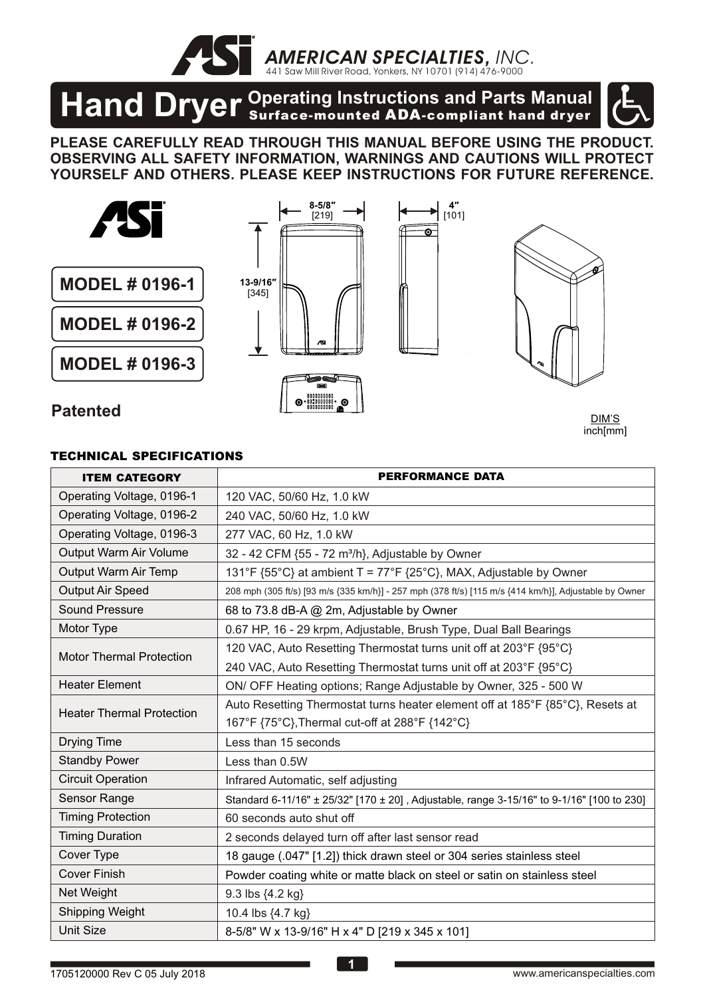*AMERICAN SPECIALTIES, INC.* 441 Saw Mill River Road, Yonkers, NY 10701 (914) 476-9000

# **Hand Dryer** <sup>Operating Instructions and Parts Manual **Hand Dryer** Surface-mounted ADA-compliant hand dryer</sup>

**PLEASE CAREFULLY READ THROUGH THIS MANUAL BEFORE USING THE PRODUCT. OBSERVING ALL SAFETY INFORMATION, WARNINGS AND CAUTIONS WILL PROTECT YOURSELF AND OTHERS. PLEASE KEEP INSTRUCTIONS FOR FUTURE REFERENCE.**



DIM'S inch[mm]

#### TECHNICAL SPECIFICATIONS

| <b>ITEM CATEGORY</b>             | <b>PERFORMANCE DATA</b>                                                                               |  |  |  |  |
|----------------------------------|-------------------------------------------------------------------------------------------------------|--|--|--|--|
| Operating Voltage, 0196-1        | 120 VAC, 50/60 Hz, 1.0 kW                                                                             |  |  |  |  |
| Operating Voltage, 0196-2        | 240 VAC, 50/60 Hz, 1.0 kW                                                                             |  |  |  |  |
| Operating Voltage, 0196-3        | 277 VAC, 60 Hz, 1.0 kW                                                                                |  |  |  |  |
| Output Warm Air Volume           | 32 - 42 CFM {55 - 72 m <sup>3</sup> /h}, Adjustable by Owner                                          |  |  |  |  |
| <b>Output Warm Air Temp</b>      | 131°F {55°C} at ambient T = 77°F {25°C}, MAX, Adjustable by Owner                                     |  |  |  |  |
| Output Air Speed                 | 208 mph (305 ft/s) [93 m/s {335 km/h}] - 257 mph (378 ft/s) [115 m/s {414 km/h}], Adjustable by Owner |  |  |  |  |
| Sound Pressure                   | 68 to 73.8 dB-A @ 2m, Adjustable by Owner                                                             |  |  |  |  |
| Motor Type                       | 0.67 HP, 16 - 29 krpm, Adjustable, Brush Type, Dual Ball Bearings                                     |  |  |  |  |
| <b>Motor Thermal Protection</b>  | 120 VAC, Auto Resetting Thermostat turns unit off at 203°F {95°C}                                     |  |  |  |  |
|                                  | 240 VAC, Auto Resetting Thermostat turns unit off at 203°F {95°C}                                     |  |  |  |  |
| <b>Heater Element</b>            | ON/ OFF Heating options; Range Adjustable by Owner, 325 - 500 W                                       |  |  |  |  |
| <b>Heater Thermal Protection</b> | Auto Resetting Thermostat turns heater element off at 185°F {85°C}, Resets at                         |  |  |  |  |
|                                  | 167°F {75°C}, Thermal cut-off at 288°F {142°C}                                                        |  |  |  |  |
| <b>Drying Time</b>               | Less than 15 seconds                                                                                  |  |  |  |  |
| <b>Standby Power</b>             | Less than 0.5W                                                                                        |  |  |  |  |
| <b>Circuit Operation</b>         | Infrared Automatic, self adjusting                                                                    |  |  |  |  |
| Sensor Range                     | Standard 6-11/16" ± 25/32" [170 ± 20], Adjustable, range 3-15/16" to 9-1/16" [100 to 230]             |  |  |  |  |
| <b>Timing Protection</b>         | 60 seconds auto shut off                                                                              |  |  |  |  |
| <b>Timing Duration</b>           | 2 seconds delayed turn off after last sensor read                                                     |  |  |  |  |
| Cover Type                       | 18 gauge (.047" [1.2]) thick drawn steel or 304 series stainless steel                                |  |  |  |  |
| <b>Cover Finish</b>              | Powder coating white or matte black on steel or satin on stainless steel                              |  |  |  |  |
| Net Weight                       | 9.3 lbs {4.2 kg}                                                                                      |  |  |  |  |
| Shipping Weight                  | 10.4 lbs {4.7 kg}                                                                                     |  |  |  |  |
| <b>Unit Size</b>                 | 8-5/8" W x 13-9/16" H x 4" D [219 x 345 x 101]                                                        |  |  |  |  |

**1**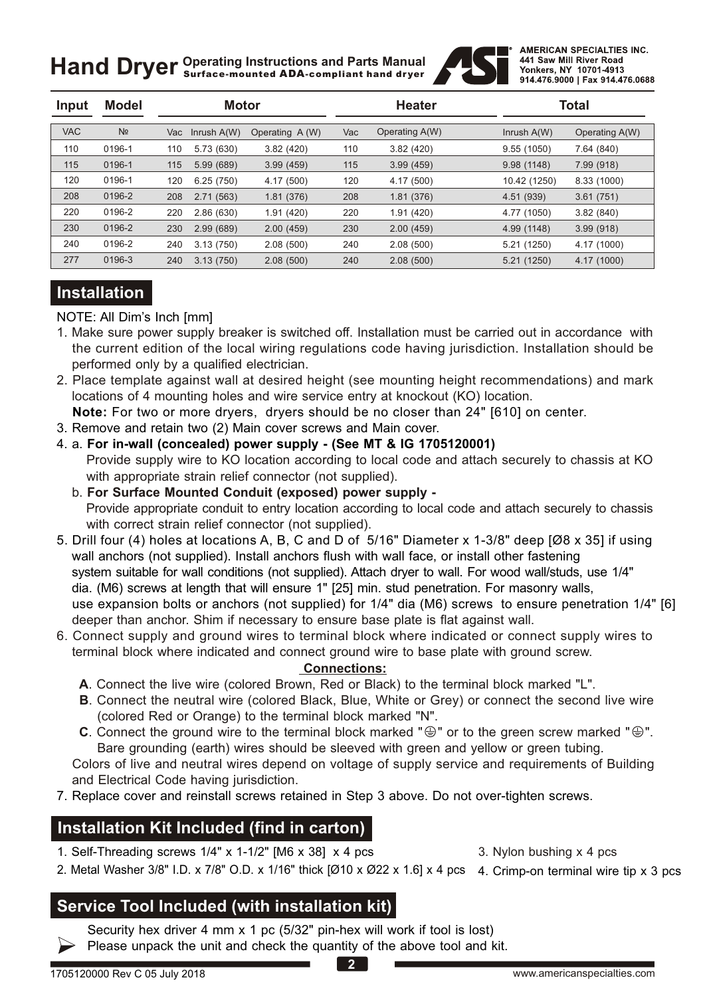**Hand Dryer** *Operating Instructions and Parts Manual Hand Dryer Surface-mounted ADA-compliant hand dryer* 



| Input      | <b>Model</b>   | <b>Motor</b> |             |                 | <b>Heater</b> |                | <b>Total</b>  |                |
|------------|----------------|--------------|-------------|-----------------|---------------|----------------|---------------|----------------|
| <b>VAC</b> | N <sub>2</sub> | Vac          | Inrush A(W) | Operating A (W) | Vac           | Operating A(W) | Inrush $A(W)$ | Operating A(W) |
| 110        | 0196-1         | 110          | 5.73 (630)  | 3.82(420)       | 110           | 3.82(420)      | 9.55 (1050)   | 7.64 (840)     |
| 115        | 0196-1         | 115          | 5.99(689)   | 3.99(459)       | 115           | 3.99(459)      | 9.98(1148)    | 7.99 (918)     |
| 120        | 0196-1         | 120          | 6.25(750)   | 4.17 (500)      | 120           | 4.17 (500)     | 10.42 (1250)  | 8.33 (1000)    |
| 208        | 0196-2         | 208          | 2.71(563)   | 1.81(376)       | 208           | 1.81(376)      | 4.51 (939)    | 3.61(751)      |
| 220        | 0196-2         | 220          | 2.86(630)   | 1.91(420)       | 220           | 1.91(420)      | 4.77 (1050)   | 3.82(840)      |
| 230        | 0196-2         | 230          | 2.99(689)   | 2.00(459)       | 230           | 2.00(459)      | 4.99 (1148)   | 3.99(918)      |
| 240        | 0196-2         | 240          | 3.13(750)   | 2.08(500)       | 240           | 2.08(500)      | 5.21 (1250)   | 4.17 (1000)    |
| 277        | 0196-3         | 240          | 3.13(750)   | 2.08(500)       | 240           | 2.08(500)      | 5.21 (1250)   | 4.17 (1000)    |

#### **Installation**

NOTE: All Dim's Inch [mm]

- 1. Make sure power supply breaker is switched off. Installation must be carried out in accordance with the current edition of the local wiring regulations code having jurisdiction. Installation should be performed only by a qualified electrician.
- 2. Place template against wall at desired height (see mounting height recommendations) and mark locations of 4 mounting holes and wire service entry at knockout (KO) location.
- **Note:** For two or more dryers, dryers should be no closer than 24" [610] on center.
- 3. Remove and retain two (2) Main cover screws and Main cover.
- 4. a. **For in-wall (concealed) power supply (See MT & IG 1705120001)** Provide supply wire to KO location according to local code and attach securely to chassis at KO with appropriate strain relief connector (not supplied).
	- b. **For Surface Mounted Conduit (exposed) power supply**  Provide appropriate conduit to entry location according to local code and attach securely to chassis with correct strain relief connector (not supplied).
- 5. Drill four (4) holes at locations A, B, C and D of 5/16" Diameter x 1-3/8" deep [Ø8 x 35] if using wall anchors (not supplied). Install anchors flush with wall face, or install other fastening system suitable for wall conditions (not supplied). Attach dryer to wall. For wood wall/studs, use 1/4" dia. (M6) screws at length that will ensure 1" [25] min. stud penetration. For masonry walls, use expansion bolts or anchors (not supplied) for 1/4" dia (M6) screws to ensure penetration 1/4" [6] deeper than anchor. Shim if necessary to ensure base plate is flat against wall.
- 6. Connect supply and ground wires to terminal block where indicated or connect supply wires to terminal block where indicated and connect ground wire to base plate with ground screw.

#### **Connections:**

- **A**. Connect the live wire (colored Brown, Red or Black) to the terminal block marked "L".
- **B**. Connect the neutral wire (colored Black, Blue, White or Grey) or connect the second live wire (colored Red or Orange) to the terminal block marked "N".
- **C**. Connect the ground wire to the terminal block marked " $\oplus$ " or to the green screw marked " $\oplus$ ". Bare grounding (earth) wires should be sleeved with green and yellow or green tubing.

 Colors of live and neutral wires depend on voltage of supply service and requirements of Building and Electrical Code having jurisdiction.

7. Replace cover and reinstall screws retained in Step 3 above. Do not over-tighten screws.

#### **Installation Kit Included (find in carton)**

1. Self-Threading screws  $1/4$ " x  $1-1/2$ " [M6 x 38] x 4 pcs 3. Nylon bushing x 4 pcs

2. Metal Washer 3/8" I.D. x 7/8" O.D. x 1/16" thick [Ø10 x Ø22 x 1.6] x 4 pcs 4. Crimp-on terminal wire tip x 3 pcs

#### **Service Tool Included (with installation kit)**

Security hex driver 4 mm x 1 pc (5/32" pin-hex will work if tool is lost)

Please unpack the unit and check the quantity of the above tool and kit.

**2**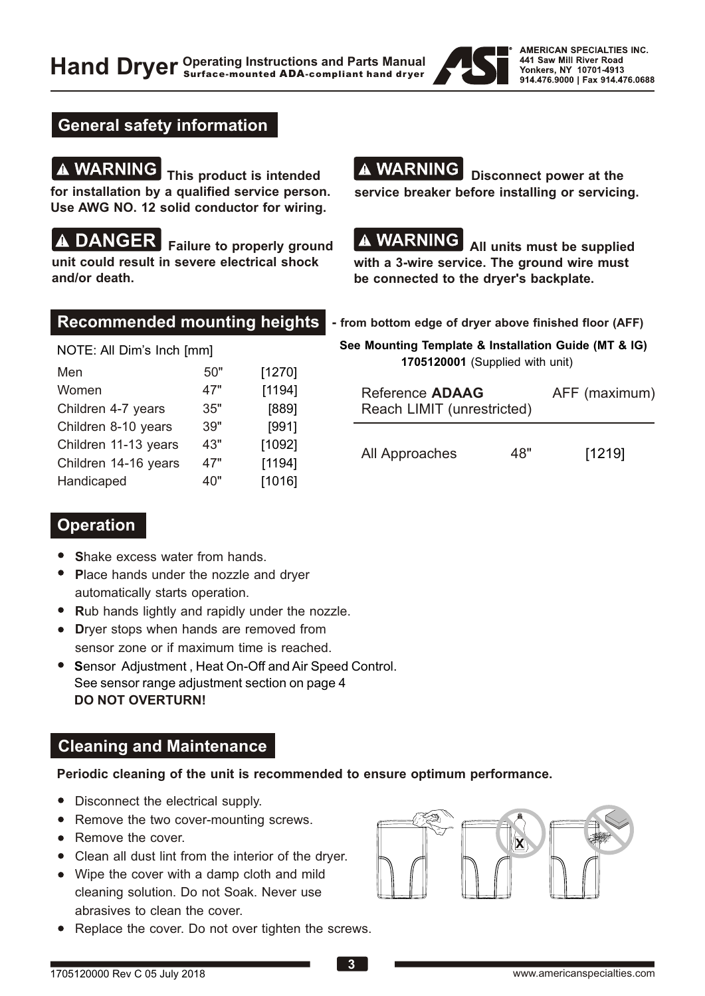

#### **General safety information**

**WARNING** This product is intended **for installation by a qualified service person. Use AWG NO. 12 solid conductor for wiring.**

**DANGER** Failure to properly ground **unit could result in severe electrical shock and/or death.**

**A WARNING** Disconnect power at the **service breaker before installing or servicing.** 

## 

**A WARNING** All units must be supplied **with a 3-wire service. The ground wire must be connected to the dryer's backplate.** 

NOTE: All Dim's Inch [mm]

| Men                  | 50" | [1270] |
|----------------------|-----|--------|
| Women                | 47" | [1194] |
| Children 4-7 years   | 35" | [889]  |
| Children 8-10 years  | 39" | [991]  |
| Children 11-13 years | 43" | [1092] |
| Children 14-16 years | 47" | [1194] |
| Handicaped           | 40" | [1016] |

#### **Recommended mounting heights - from bottom edge of dryer above finished floor (AFF)**

 **See Mounting Template & Installation Guide (MT & IG) 1705120001** (Supplied with unit)

| Reference <b>ADAAG</b><br>Reach LIMIT (unrestricted) | AFF (maximum) |        |
|------------------------------------------------------|---------------|--------|
| All Approaches                                       | 48"           | [1219] |

#### **Operation**

- **Shake excess water from hands.**
- **P**lace hands under the nozzle and dryer automatically starts operation.
- Rub hands lightly and rapidly under the nozzle.
- **Drver stops when hands are removed from** sensor zone or if maximum time is reached.
- **S**ensor Adjustment , Heat On-Off and Air Speed Control. See sensor range adjustment section on page 4 **DO NOT OVERTURN!**

#### **Cleaning and Maintenance**

**Periodic cleaning of the unit is recommended to ensure optimum performance.**

- Disconnect the electrical supply.
- Remove the two cover-mounting screws.
- Remove the cover.
- Clean all dust lint from the interior of the dryer.
- Wipe the cover with a damp cloth and mild cleaning solution. Do not Soak. Never use abrasives to clean the cover.
- Replace the cover. Do not over tighten the screws.

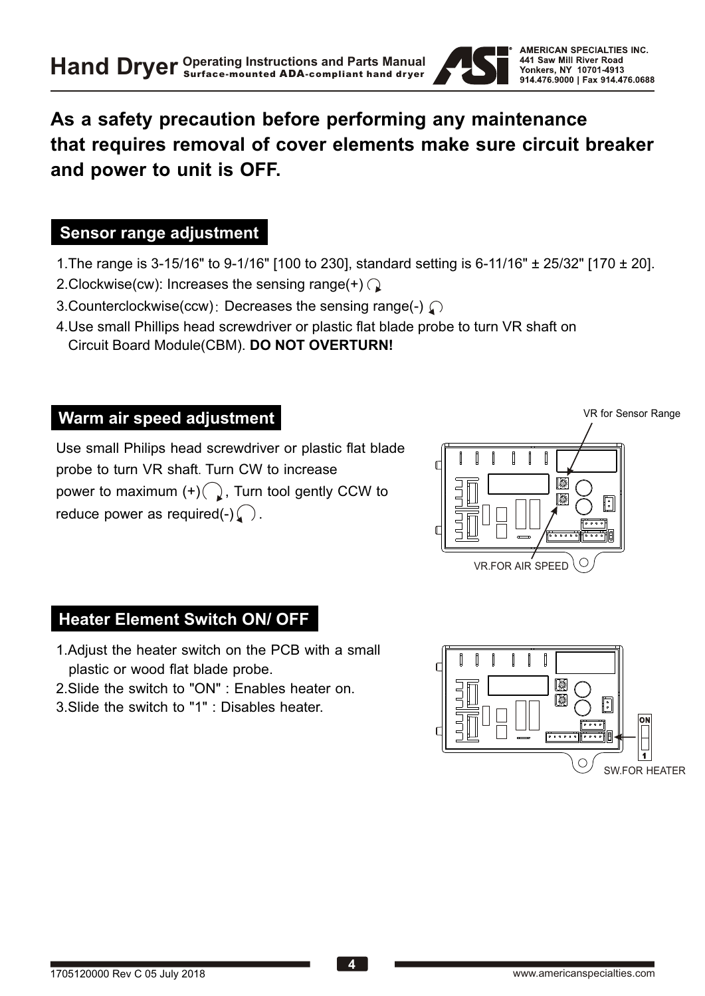

### **As a safety precaution before performing any maintenance that requires removal of cover elements make sure circuit breaker and power to unit is OFF.**

#### **Sensor range adjustment**

- 1.The range is 3-15/16" to 9-1/16" [100 to 230], standard setting is 6-11/16" ± 25/32" [170 ± 20].
- 2. Clockwise(cw): Increases the sensing range(+)  $\bigcap$
- 3. Counterclockwise(ccw): Decreases the sensing range(-)  $\bigcap$
- 4.Use small Phillips head screwdriver or plastic flat blade probe to turn VR shaft on Circuit Board Module(CBM). **DO NOT OVERTURN!**

#### **Warm air speed adjustment**

Use small Philips head screwdriver or plastic flat blade probe to turn VR shaft. Turn CW to increase power to maximum  $(+)$ , Turn tool gently CCW to reduce power as required(-)  $\bigcap$ .



**Heater Element Switch ON/ OFF**

- 1.Adjust the heater switch on the PCB with a small plastic or wood flat blade probe.
- 2.Slide the switch to "ON" : Enables heater on.
- 3.Slide the switch to "1" : Disables heater.

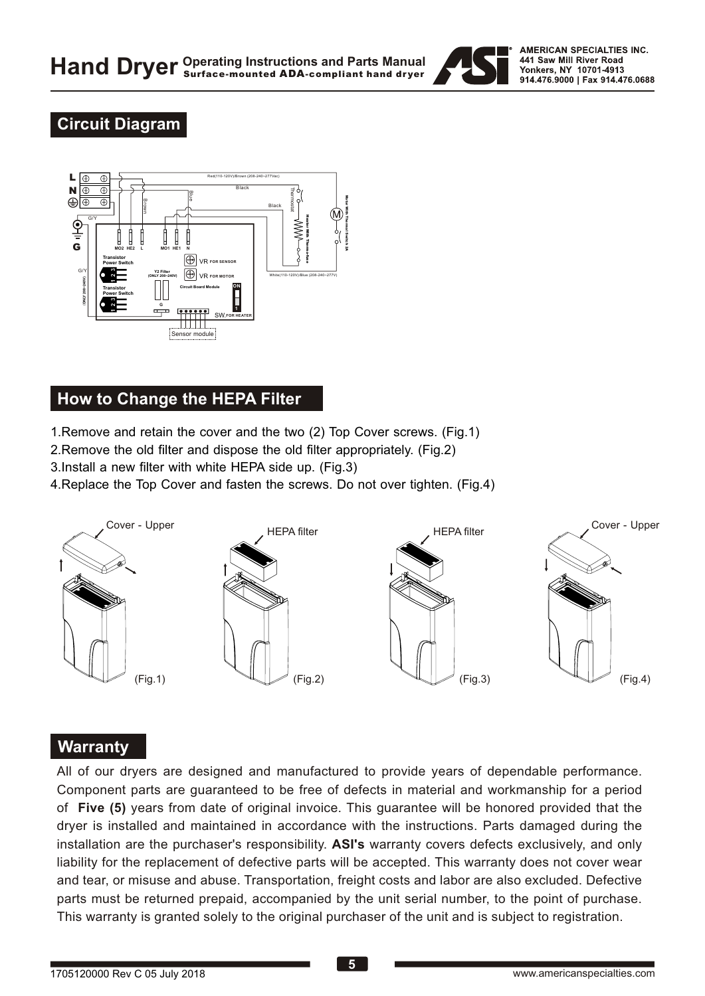

#### **Circuit Diagram**



#### **How to Change the HEPA Filter**

1.Remove and retain the cover and the two (2) Top Cover screws. (Fig.1)

- 2.Remove the old filter and dispose the old filter appropriately. (Fig.2)
- 3.Install a new filter with white HEPA side up. (Fig.3)
- 4.Replace the Top Cover and fasten the screws. Do not over tighten. (Fig.4)



#### **Warranty**

All of our dryers are designed and manufactured to provide years of dependable performance. Component parts are guaranteed to be free of defects in material and workmanship for a period of **Five (5)** years from date of original invoice. This guarantee will be honored provided that the dryer is installed and maintained in accordance with the instructions. Parts damaged during the installation are the purchaser's responsibility. **ASI's** warranty covers defects exclusively, and only liability for the replacement of defective parts will be accepted. This warranty does not cover wear and tear, or misuse and abuse. Transportation, freight costs and labor are also excluded. Defective parts must be returned prepaid, accompanied by the unit serial number, to the point of purchase. This warranty is granted solely to the original purchaser of the unit and is subject to registration.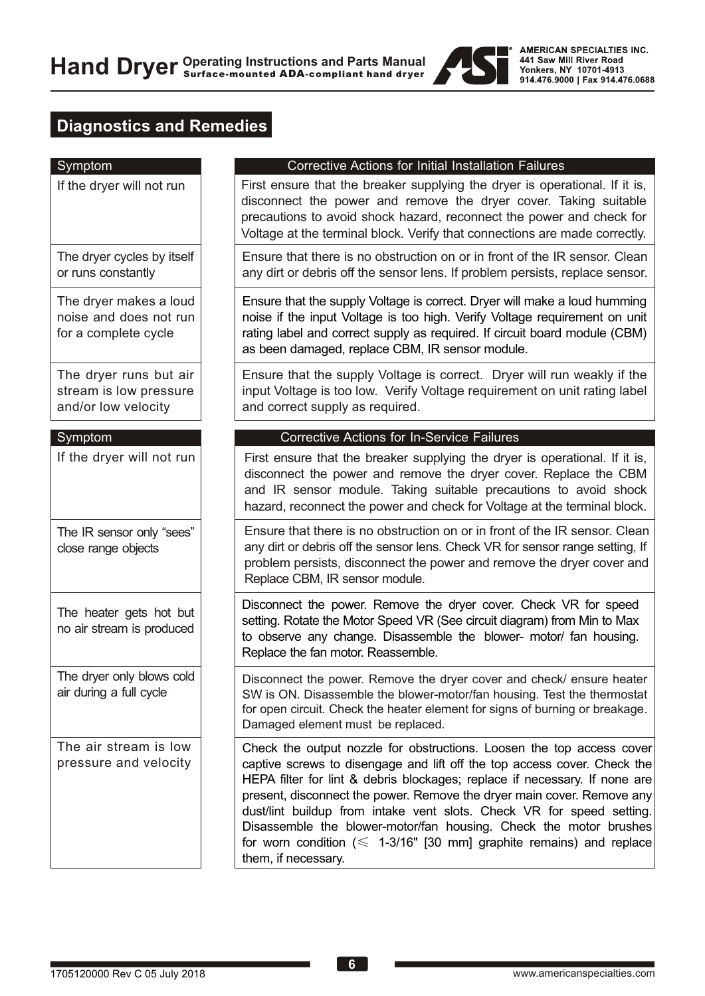

### **Diagnostics and Remedies**

| Symptom                                                                  | <b>Corrective Actions for Initial Installation Failures</b>                                                                                                                                                                                                                                                                                                                                                                                                                                                                                                 |
|--------------------------------------------------------------------------|-------------------------------------------------------------------------------------------------------------------------------------------------------------------------------------------------------------------------------------------------------------------------------------------------------------------------------------------------------------------------------------------------------------------------------------------------------------------------------------------------------------------------------------------------------------|
| If the dryer will not run                                                | First ensure that the breaker supplying the dryer is operational. If it is,<br>disconnect the power and remove the dryer cover. Taking suitable<br>precautions to avoid shock hazard, reconnect the power and check for<br>Voltage at the terminal block. Verify that connections are made correctly.                                                                                                                                                                                                                                                       |
| The dryer cycles by itself<br>or runs constantly                         | Ensure that there is no obstruction on or in front of the IR sensor. Clean<br>any dirt or debris off the sensor lens. If problem persists, replace sensor.                                                                                                                                                                                                                                                                                                                                                                                                  |
| The dryer makes a loud<br>noise and does not run<br>for a complete cycle | Ensure that the supply Voltage is correct. Dryer will make a loud humming<br>noise if the input Voltage is too high. Verify Voltage requirement on unit<br>rating label and correct supply as required. If circuit board module (CBM)<br>as been damaged, replace CBM, IR sensor module.                                                                                                                                                                                                                                                                    |
| The dryer runs but air<br>stream is low pressure<br>and/or low velocity  | Ensure that the supply Voltage is correct. Dryer will run weakly if the<br>input Voltage is too low. Verify Voltage requirement on unit rating label<br>and correct supply as required.                                                                                                                                                                                                                                                                                                                                                                     |
| Symptom                                                                  | <b>Corrective Actions for In-Service Failures</b>                                                                                                                                                                                                                                                                                                                                                                                                                                                                                                           |
| If the dryer will not run                                                | First ensure that the breaker supplying the dryer is operational. If it is,<br>disconnect the power and remove the dryer cover. Replace the CBM<br>and IR sensor module. Taking suitable precautions to avoid shock<br>hazard, reconnect the power and check for Voltage at the terminal block.                                                                                                                                                                                                                                                             |
| The IR sensor only "sees"<br>close range objects                         | Ensure that there is no obstruction on or in front of the IR sensor. Clean<br>any dirt or debris off the sensor lens. Check VR for sensor range setting, If<br>problem persists, disconnect the power and remove the dryer cover and<br>Replace CBM, IR sensor module.                                                                                                                                                                                                                                                                                      |
| The heater gets hot but<br>no air stream is produced                     | Disconnect the power. Remove the dryer cover. Check VR for speed<br>setting. Rotate the Motor Speed VR (See circuit diagram) from Min to Max<br>to observe any change. Disassemble the blower- motor/ fan housing.<br>Replace the fan motor. Reassemble.                                                                                                                                                                                                                                                                                                    |
| The dryer only blows cold<br>air during a full cycle                     | Disconnect the power. Remove the dryer cover and check/ ensure heater<br>SW is ON. Disassemble the blower-motor/fan housing. Test the thermostat<br>for open circuit. Check the heater element for signs of burning or breakage.<br>Damaged element must be replaced.                                                                                                                                                                                                                                                                                       |
| The air stream is low<br>pressure and velocity                           | Check the output nozzle for obstructions. Loosen the top access cover<br>captive screws to disengage and lift off the top access cover. Check the<br>HEPA filter for lint & debris blockages; replace if necessary. If none are<br>present, disconnect the power. Remove the dryer main cover. Remove any<br>dust/lint buildup from intake vent slots. Check VR for speed setting.<br>Disassemble the blower-motor/fan housing. Check the motor brushes<br>for worn condition $(\leq 1-3/16$ " [30 mm] graphite remains) and replace<br>them, if necessary. |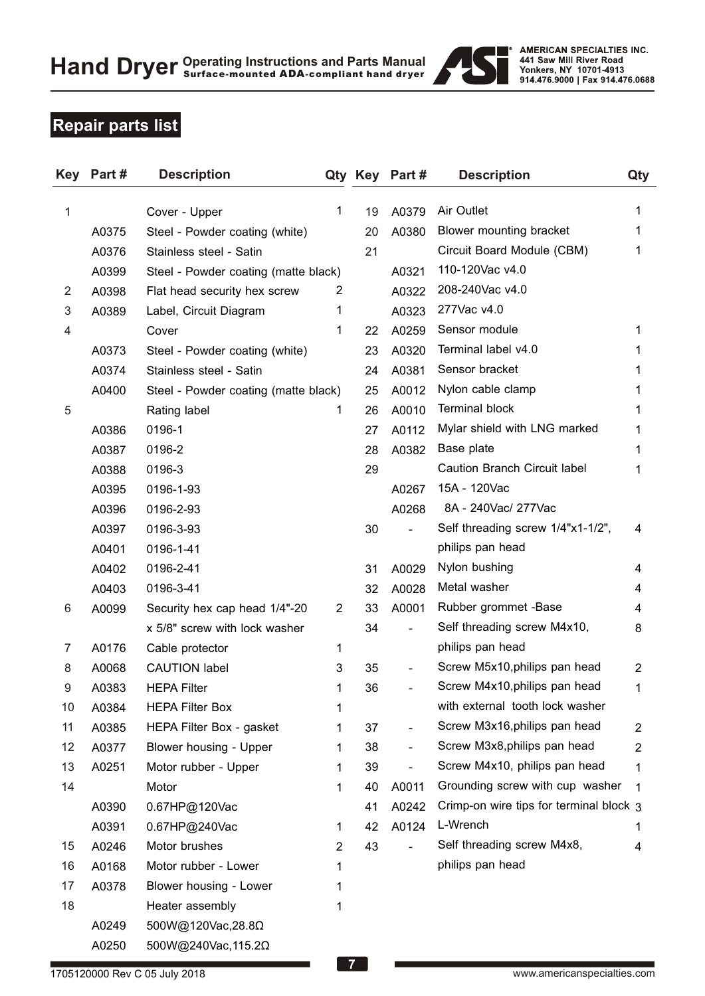

### **Repair parts list**

| <b>Key</b>     | Part # | <b>Description</b>                   |                |    | Qty Key Part#                | <b>Description</b>                      | Qty            |
|----------------|--------|--------------------------------------|----------------|----|------------------------------|-----------------------------------------|----------------|
| 1              |        | Cover - Upper                        | 1              | 19 | A0379                        | Air Outlet                              | 1              |
|                | A0375  | Steel - Powder coating (white)       |                | 20 | A0380                        | Blower mounting bracket                 | 1              |
|                | A0376  | Stainless steel - Satin              |                | 21 |                              | Circuit Board Module (CBM)              | 1              |
|                | A0399  | Steel - Powder coating (matte black) |                |    | A0321                        | 110-120Vac v4.0                         |                |
| $\overline{2}$ | A0398  | Flat head security hex screw         | 2              |    | A0322                        | 208-240Vac v4.0                         |                |
| 3              | A0389  | Label, Circuit Diagram               | 1              |    | A0323                        | 277Vac v4.0                             |                |
| 4              |        | Cover                                | 1              | 22 | A0259                        | Sensor module                           | 1              |
|                | A0373  | Steel - Powder coating (white)       |                | 23 | A0320                        | Terminal label v4.0                     |                |
|                | A0374  | Stainless steel - Satin              |                | 24 | A0381                        | Sensor bracket                          |                |
|                | A0400  | Steel - Powder coating (matte black) |                | 25 | A0012                        | Nylon cable clamp                       |                |
| 5              |        | Rating label                         | 1              | 26 | A0010                        | <b>Terminal block</b>                   | 1              |
|                | A0386  | 0196-1                               |                | 27 | A0112                        | Mylar shield with LNG marked            | 1              |
|                | A0387  | 0196-2                               |                | 28 | A0382                        | Base plate                              | 1              |
|                | A0388  | 0196-3                               |                | 29 |                              | <b>Caution Branch Circuit label</b>     | 1              |
|                | A0395  | 0196-1-93                            |                |    | A0267                        | 15A - 120Vac                            |                |
|                | A0396  | 0196-2-93                            |                |    | A0268                        | 8A - 240Vac/ 277Vac                     |                |
|                | A0397  | 0196-3-93                            |                | 30 | $\overline{a}$               | Self threading screw 1/4"x1-1/2",       | 4              |
|                | A0401  | 0196-1-41                            |                |    |                              | philips pan head                        |                |
|                | A0402  | 0196-2-41                            |                | 31 | A0029                        | Nylon bushing                           | 4              |
|                | A0403  | 0196-3-41                            |                | 32 | A0028                        | Metal washer                            | 4              |
| 6              | A0099  | Security hex cap head 1/4"-20        | $\overline{2}$ | 33 | A0001                        | Rubber grommet -Base                    | 4              |
|                |        | x 5/8" screw with lock washer        |                | 34 | $\overline{a}$               | Self threading screw M4x10,             | 8              |
| 7              | A0176  | Cable protector                      | 1              |    |                              | philips pan head                        |                |
| 8              | A0068  | <b>CAUTION label</b>                 | 3              | 35 |                              | Screw M5x10, philips pan head           | $\overline{2}$ |
| 9              | A0383  | <b>HEPA Filter</b>                   | 1              | 36 |                              | Screw M4x10, philips pan head           | 1              |
| 10             | A0384  | <b>HEPA Filter Box</b>               | 1              |    |                              | with external tooth lock washer         |                |
| 11             | A0385  | HEPA Filter Box - gasket             | 1              | 37 | $\qquad \qquad \blacksquare$ | Screw M3x16, philips pan head           | $\overline{2}$ |
| 12             | A0377  | Blower housing - Upper               | 1              | 38 | $\overline{\phantom{0}}$     | Screw M3x8, philips pan head            | 2              |
| 13             | A0251  | Motor rubber - Upper                 | 1              | 39 |                              | Screw M4x10, philips pan head           | 1              |
| 14             |        | Motor                                | 1              | 40 | A0011                        | Grounding screw with cup washer         | 1              |
|                | A0390  | 0.67HP@120Vac                        |                | 41 | A0242                        | Crimp-on wire tips for terminal block 3 |                |
|                | A0391  | 0.67HP@240Vac                        | 1              | 42 | A0124                        | L-Wrench                                | 1              |
| 15             | A0246  | Motor brushes                        | $\overline{2}$ | 43 | $\overline{a}$               | Self threading screw M4x8,              | 4              |
| 16             | A0168  | Motor rubber - Lower                 | 1              |    |                              | philips pan head                        |                |
| 17             | A0378  | Blower housing - Lower               | 1              |    |                              |                                         |                |
| 18             |        | Heater assembly                      | 1              |    |                              |                                         |                |
|                | A0249  | 500W@120Vac,28.8Ω                    |                |    |                              |                                         |                |

500W@240Vac,115.2Ω

A0250